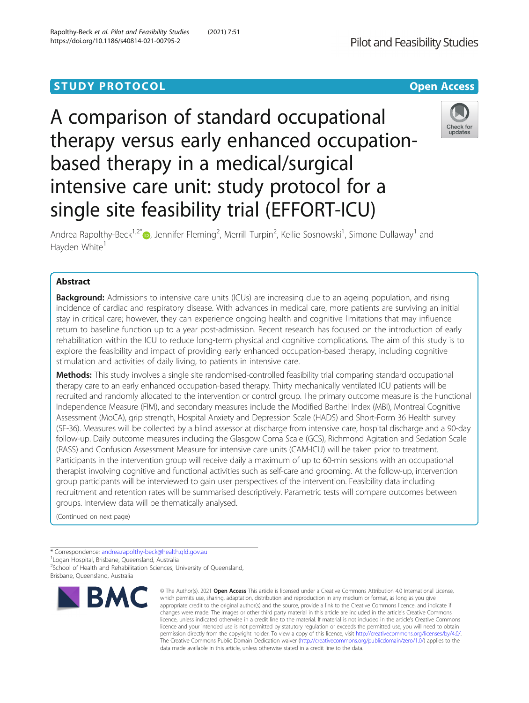# **STUDY PROTOCOL CONSUMING THE CONSUMING OPEN ACCESS**

# A comparison of standard occupational therapy versus early enhanced occupationbased therapy in a medical/surgical intensive care unit: study protocol for a single site feasibility trial (EFFORT-ICU)

Andrea Rapolthy-Beck<sup>1,2[\\*](http://orcid.org/0000-0003-0043-7758)</sup>®, Jennifer Fleming<sup>2</sup>, Merrill Turpin<sup>2</sup>, Kellie Sosnowski<sup>1</sup>, Simone Dullaway<sup>1</sup> and Hayden White<sup>1</sup>

# Abstract

**Background:** Admissions to intensive care units (ICUs) are increasing due to an ageing population, and rising incidence of cardiac and respiratory disease. With advances in medical care, more patients are surviving an initial stay in critical care; however, they can experience ongoing health and cognitive limitations that may influence return to baseline function up to a year post-admission. Recent research has focused on the introduction of early rehabilitation within the ICU to reduce long-term physical and cognitive complications. The aim of this study is to explore the feasibility and impact of providing early enhanced occupation-based therapy, including cognitive stimulation and activities of daily living, to patients in intensive care.

Methods: This study involves a single site randomised-controlled feasibility trial comparing standard occupational therapy care to an early enhanced occupation-based therapy. Thirty mechanically ventilated ICU patients will be recruited and randomly allocated to the intervention or control group. The primary outcome measure is the Functional Independence Measure (FIM), and secondary measures include the Modified Barthel Index (MBI), Montreal Cognitive Assessment (MoCA), grip strength, Hospital Anxiety and Depression Scale (HADS) and Short-Form 36 Health survey (SF-36). Measures will be collected by a blind assessor at discharge from intensive care, hospital discharge and a 90-day follow-up. Daily outcome measures including the Glasgow Coma Scale (GCS), Richmond Agitation and Sedation Scale (RASS) and Confusion Assessment Measure for intensive care units (CAM-ICU) will be taken prior to treatment. Participants in the intervention group will receive daily a maximum of up to 60-min sessions with an occupational therapist involving cognitive and functional activities such as self-care and grooming. At the follow-up, intervention group participants will be interviewed to gain user perspectives of the intervention. Feasibility data including recruitment and retention rates will be summarised descriptively. Parametric tests will compare outcomes between groups. Interview data will be thematically analysed.

(Continued on next page)

\* Correspondence: [andrea.rapolthy-beck@health.qld.gov.au](mailto:andrea.rapolthy-beck@health.qld.gov.au) <sup>1</sup>

<sup>1</sup> Logan Hospital, Brisbane, Queensland, Australia

<sup>2</sup>School of Health and Rehabilitation Sciences, University of Queensland, Brisbane, Queensland, Australia



<sup>©</sup> The Author(s), 2021 **Open Access** This article is licensed under a Creative Commons Attribution 4.0 International License, which permits use, sharing, adaptation, distribution and reproduction in any medium or format, as long as you give appropriate credit to the original author(s) and the source, provide a link to the Creative Commons licence, and indicate if changes were made. The images or other third party material in this article are included in the article's Creative Commons licence, unless indicated otherwise in a credit line to the material. If material is not included in the article's Creative Commons licence and your intended use is not permitted by statutory regulation or exceeds the permitted use, you will need to obtain permission directly from the copyright holder. To view a copy of this licence, visit [http://creativecommons.org/licenses/by/4.0/.](http://creativecommons.org/licenses/by/4.0/) The Creative Commons Public Domain Dedication waiver [\(http://creativecommons.org/publicdomain/zero/1.0/](http://creativecommons.org/publicdomain/zero/1.0/)) applies to the data made available in this article, unless otherwise stated in a credit line to the data.

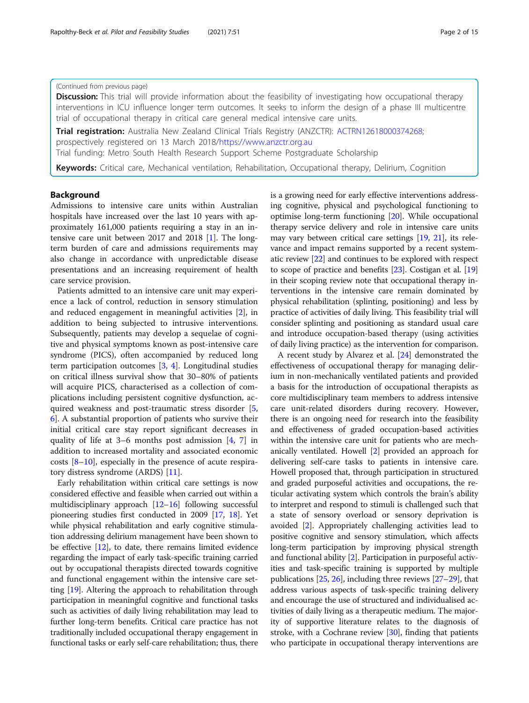# (Continued from previous page)

**Discussion:** This trial will provide information about the feasibility of investigating how occupational therapy interventions in ICU influence longer term outcomes. It seeks to inform the design of a phase III multicentre trial of occupational therapy in critical care general medical intensive care units.

Trial registration: Australia New Zealand Clinical Trials Registry (ANZCTR): [ACTRN12618000374268;](https://anzctr.org.au/Trial/Registration/TrialReview.aspx?id=374621&isReview=true) prospectively registered on 13 March 2018/<https://www.anzctr.org.au> Trial funding: Metro South Health Research Support Scheme Postgraduate Scholarship

Keywords: Critical care, Mechanical ventilation, Rehabilitation, Occupational therapy, Delirium, Cognition

# Background

Admissions to intensive care units within Australian hospitals have increased over the last 10 years with approximately 161,000 patients requiring a stay in an intensive care unit between 2017 and 2018 [\[1](#page-12-0)]. The longterm burden of care and admissions requirements may also change in accordance with unpredictable disease presentations and an increasing requirement of health care service provision.

Patients admitted to an intensive care unit may experience a lack of control, reduction in sensory stimulation and reduced engagement in meaningful activities [[2](#page-12-0)], in addition to being subjected to intrusive interventions. Subsequently, patients may develop a sequelae of cognitive and physical symptoms known as post-intensive care syndrome (PICS), often accompanied by reduced long term participation outcomes [[3,](#page-12-0) [4\]](#page-12-0). Longitudinal studies on critical illness survival show that 30–80% of patients will acquire PICS, characterised as a collection of complications including persistent cognitive dysfunction, acquired weakness and post-traumatic stress disorder [\[5](#page-12-0), [6\]](#page-12-0). A substantial proportion of patients who survive their initial critical care stay report significant decreases in quality of life at 3–6 months post admission [[4,](#page-12-0) [7\]](#page-12-0) in addition to increased mortality and associated economic costs  $[8-10]$  $[8-10]$  $[8-10]$  $[8-10]$  $[8-10]$ , especially in the presence of acute respiratory distress syndrome (ARDS) [\[11\]](#page-12-0).

Early rehabilitation within critical care settings is now considered effective and feasible when carried out within a multidisciplinary approach [[12](#page-12-0)–[16\]](#page-13-0) following successful pioneering studies first conducted in 2009 [[17](#page-13-0), [18](#page-13-0)]. Yet while physical rehabilitation and early cognitive stimulation addressing delirium management have been shown to be effective [[12](#page-12-0)], to date, there remains limited evidence regarding the impact of early task-specific training carried out by occupational therapists directed towards cognitive and functional engagement within the intensive care setting [[19](#page-13-0)]. Altering the approach to rehabilitation through participation in meaningful cognitive and functional tasks such as activities of daily living rehabilitation may lead to further long-term benefits. Critical care practice has not traditionally included occupational therapy engagement in functional tasks or early self-care rehabilitation; thus, there is a growing need for early effective interventions addressing cognitive, physical and psychological functioning to optimise long-term functioning [\[20\]](#page-13-0). While occupational therapy service delivery and role in intensive care units may vary between critical care settings [\[19](#page-13-0), [21\]](#page-13-0), its relevance and impact remains supported by a recent systematic review [[22](#page-13-0)] and continues to be explored with respect to scope of practice and benefits [\[23\]](#page-13-0). Costigan et al. [[19](#page-13-0)] in their scoping review note that occupational therapy interventions in the intensive care remain dominated by physical rehabilitation (splinting, positioning) and less by practice of activities of daily living. This feasibility trial will consider splinting and positioning as standard usual care and introduce occupation-based therapy (using activities of daily living practice) as the intervention for comparison.

A recent study by Alvarez et al. [[24](#page-13-0)] demonstrated the effectiveness of occupational therapy for managing delirium in non-mechanically ventilated patients and provided a basis for the introduction of occupational therapists as core multidisciplinary team members to address intensive care unit-related disorders during recovery. However, there is an ongoing need for research into the feasibility and effectiveness of graded occupation-based activities within the intensive care unit for patients who are mechanically ventilated. Howell [\[2\]](#page-12-0) provided an approach for delivering self-care tasks to patients in intensive care. Howell proposed that, through participation in structured and graded purposeful activities and occupations, the reticular activating system which controls the brain's ability to interpret and respond to stimuli is challenged such that a state of sensory overload or sensory deprivation is avoided [[2](#page-12-0)]. Appropriately challenging activities lead to positive cognitive and sensory stimulation, which affects long-term participation by improving physical strength and functional ability [[2\]](#page-12-0). Participation in purposeful activities and task-specific training is supported by multiple publications [\[25,](#page-13-0) [26](#page-13-0)], including three reviews [[27](#page-13-0)–[29\]](#page-13-0), that address various aspects of task-specific training delivery and encourage the use of structured and individualised activities of daily living as a therapeutic medium. The majority of supportive literature relates to the diagnosis of stroke, with a Cochrane review [\[30\]](#page-13-0), finding that patients who participate in occupational therapy interventions are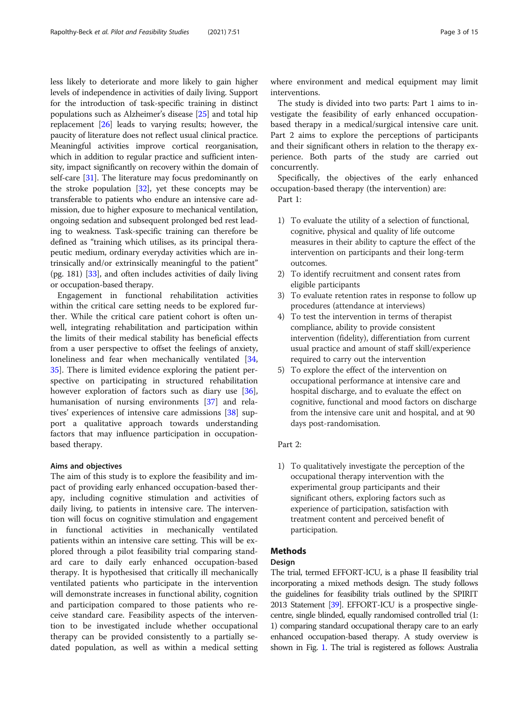less likely to deteriorate and more likely to gain higher levels of independence in activities of daily living. Support for the introduction of task-specific training in distinct populations such as Alzheimer's disease [\[25\]](#page-13-0) and total hip replacement [\[26\]](#page-13-0) leads to varying results; however, the paucity of literature does not reflect usual clinical practice. Meaningful activities improve cortical reorganisation, which in addition to regular practice and sufficient intensity, impact significantly on recovery within the domain of self-care [\[31](#page-13-0)]. The literature may focus predominantly on the stroke population [[32](#page-13-0)], yet these concepts may be transferable to patients who endure an intensive care admission, due to higher exposure to mechanical ventilation, ongoing sedation and subsequent prolonged bed rest leading to weakness. Task-specific training can therefore be defined as "training which utilises, as its principal therapeutic medium, ordinary everyday activities which are intrinsically and/or extrinsically meaningful to the patient" (pg. 181) [\[33](#page-13-0)], and often includes activities of daily living or occupation-based therapy.

Engagement in functional rehabilitation activities within the critical care setting needs to be explored further. While the critical care patient cohort is often unwell, integrating rehabilitation and participation within the limits of their medical stability has beneficial effects from a user perspective to offset the feelings of anxiety, loneliness and fear when mechanically ventilated [[34](#page-13-0), [35\]](#page-13-0). There is limited evidence exploring the patient perspective on participating in structured rehabilitation however exploration of factors such as diary use [\[36](#page-13-0)], humanisation of nursing environments [[37\]](#page-13-0) and relatives' experiences of intensive care admissions [[38\]](#page-13-0) support a qualitative approach towards understanding factors that may influence participation in occupationbased therapy.

#### Aims and objectives

The aim of this study is to explore the feasibility and impact of providing early enhanced occupation-based therapy, including cognitive stimulation and activities of daily living, to patients in intensive care. The intervention will focus on cognitive stimulation and engagement in functional activities in mechanically ventilated patients within an intensive care setting. This will be explored through a pilot feasibility trial comparing standard care to daily early enhanced occupation-based therapy. It is hypothesised that critically ill mechanically ventilated patients who participate in the intervention will demonstrate increases in functional ability, cognition and participation compared to those patients who receive standard care. Feasibility aspects of the intervention to be investigated include whether occupational therapy can be provided consistently to a partially sedated population, as well as within a medical setting

where environment and medical equipment may limit interventions.

The study is divided into two parts: Part 1 aims to investigate the feasibility of early enhanced occupationbased therapy in a medical/surgical intensive care unit. Part 2 aims to explore the perceptions of participants and their significant others in relation to the therapy experience. Both parts of the study are carried out concurrently.

Specifically, the objectives of the early enhanced occupation-based therapy (the intervention) are: Part 1:

- 1) To evaluate the utility of a selection of functional, cognitive, physical and quality of life outcome measures in their ability to capture the effect of the intervention on participants and their long-term outcomes.
- 2) To identify recruitment and consent rates from eligible participants
- 3) To evaluate retention rates in response to follow up procedures (attendance at interviews)
- 4) To test the intervention in terms of therapist compliance, ability to provide consistent intervention (fidelity), differentiation from current usual practice and amount of staff skill/experience required to carry out the intervention
- 5) To explore the effect of the intervention on occupational performance at intensive care and hospital discharge, and to evaluate the effect on cognitive, functional and mood factors on discharge from the intensive care unit and hospital, and at 90 days post-randomisation.

# Part 2:

1) To qualitatively investigate the perception of the occupational therapy intervention with the experimental group participants and their significant others, exploring factors such as experience of participation, satisfaction with treatment content and perceived benefit of participation.

# Methods

# Design

The trial, termed EFFORT-ICU, is a phase II feasibility trial incorporating a mixed methods design. The study follows the guidelines for feasibility trials outlined by the SPIRIT 2013 Statement [[39\]](#page-13-0). EFFORT-ICU is a prospective singlecentre, single blinded, equally randomised controlled trial (1: 1) comparing standard occupational therapy care to an early enhanced occupation-based therapy. A study overview is shown in Fig. [1](#page-3-0). The trial is registered as follows: Australia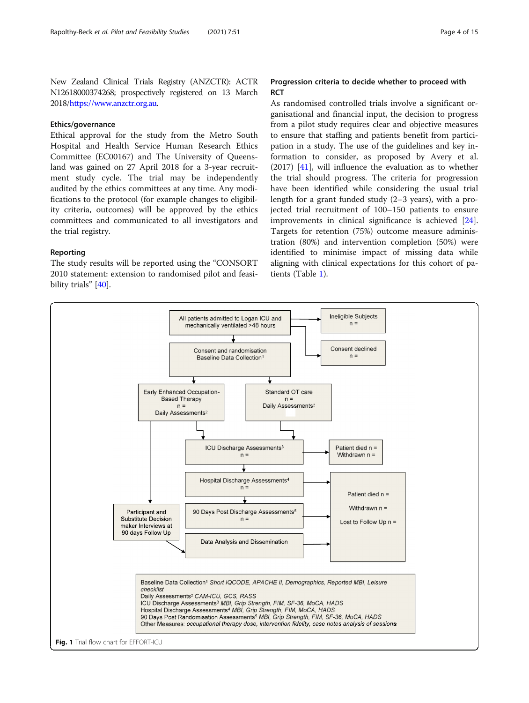<span id="page-3-0"></span>New Zealand Clinical Trials Registry (ANZCTR): ACTR N12618000374268; prospectively registered on 13 March 2018[/https://www.anzctr.org.au](https://www.anzctr.org.au).

# Ethics/governance

Ethical approval for the study from the Metro South Hospital and Health Service Human Research Ethics Committee (EC00167) and The University of Queensland was gained on 27 April 2018 for a 3-year recruitment study cycle. The trial may be independently audited by the ethics committees at any time. Any modifications to the protocol (for example changes to eligibility criteria, outcomes) will be approved by the ethics committees and communicated to all investigators and the trial registry.

# Reporting

The study results will be reported using the "CONSORT 2010 statement: extension to randomised pilot and feasi-bility trials" [[40\]](#page-13-0).

# Progression criteria to decide whether to proceed with **RCT**

As randomised controlled trials involve a significant organisational and financial input, the decision to progress from a pilot study requires clear and objective measures to ensure that staffing and patients benefit from participation in a study. The use of the guidelines and key information to consider, as proposed by Avery et al. (2017) [\[41\]](#page-13-0), will influence the evaluation as to whether the trial should progress. The criteria for progression have been identified while considering the usual trial length for a grant funded study (2–3 years), with a projected trial recruitment of 100–150 patients to ensure improvements in clinical significance is achieved [\[24](#page-13-0)]. Targets for retention (75%) outcome measure administration (80%) and intervention completion (50%) were identified to minimise impact of missing data while aligning with clinical expectations for this cohort of patients (Table [1](#page-4-0)).

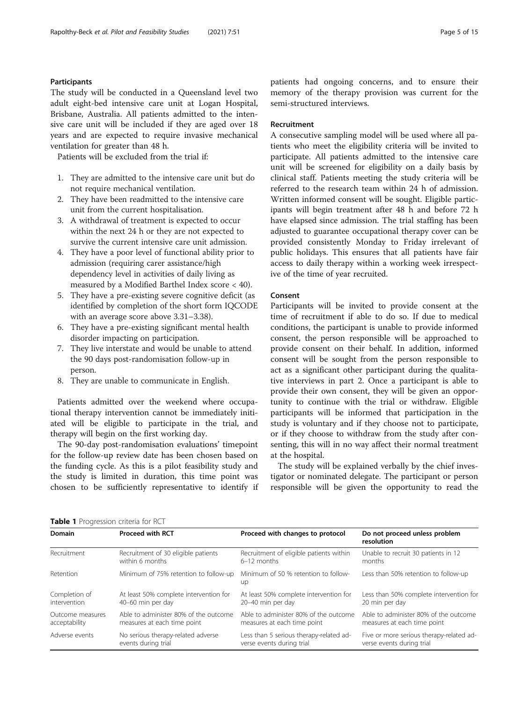# <span id="page-4-0"></span>**Participants**

The study will be conducted in a Queensland level two adult eight-bed intensive care unit at Logan Hospital, Brisbane, Australia. All patients admitted to the intensive care unit will be included if they are aged over 18 years and are expected to require invasive mechanical ventilation for greater than 48 h.

Patients will be excluded from the trial if:

- 1. They are admitted to the intensive care unit but do not require mechanical ventilation.
- 2. They have been readmitted to the intensive care unit from the current hospitalisation.
- 3. A withdrawal of treatment is expected to occur within the next 24 h or they are not expected to survive the current intensive care unit admission.
- 4. They have a poor level of functional ability prior to admission (requiring carer assistance/high dependency level in activities of daily living as measured by a Modified Barthel Index score < 40).
- 5. They have a pre-existing severe cognitive deficit (as identified by completion of the short form IQCODE with an average score above 3.31–3.38).
- 6. They have a pre-existing significant mental health disorder impacting on participation.
- 7. They live interstate and would be unable to attend the 90 days post-randomisation follow-up in person.
- 8. They are unable to communicate in English.

Patients admitted over the weekend where occupational therapy intervention cannot be immediately initiated will be eligible to participate in the trial, and therapy will begin on the first working day.

The 90-day post-randomisation evaluations' timepoint for the follow-up review date has been chosen based on the funding cycle. As this is a pilot feasibility study and the study is limited in duration, this time point was chosen to be sufficiently representative to identify if patients had ongoing concerns, and to ensure their memory of the therapy provision was current for the semi-structured interviews.

# Recruitment

A consecutive sampling model will be used where all patients who meet the eligibility criteria will be invited to participate. All patients admitted to the intensive care unit will be screened for eligibility on a daily basis by clinical staff. Patients meeting the study criteria will be referred to the research team within 24 h of admission. Written informed consent will be sought. Eligible participants will begin treatment after 48 h and before 72 h have elapsed since admission. The trial staffing has been adjusted to guarantee occupational therapy cover can be provided consistently Monday to Friday irrelevant of public holidays. This ensures that all patients have fair access to daily therapy within a working week irrespective of the time of year recruited.

# Consent

Participants will be invited to provide consent at the time of recruitment if able to do so. If due to medical conditions, the participant is unable to provide informed consent, the person responsible will be approached to provide consent on their behalf. In addition, informed consent will be sought from the person responsible to act as a significant other participant during the qualitative interviews in part 2. Once a participant is able to provide their own consent, they will be given an opportunity to continue with the trial or withdraw. Eligible participants will be informed that participation in the study is voluntary and if they choose not to participate, or if they choose to withdraw from the study after consenting, this will in no way affect their normal treatment at the hospital.

The study will be explained verbally by the chief investigator or nominated delegate. The participant or person responsible will be given the opportunity to read the

| Domain           | <b>Proceed with RCT</b>                | Proceed with changes to protocol           | Do not proceed unless problem<br>resolution |
|------------------|----------------------------------------|--------------------------------------------|---------------------------------------------|
| Recruitment      | Recruitment of 30 eligible patients    | Recruitment of eligible patients within    | Unable to recruit 30 patients in 12         |
|                  | within 6 months                        | $6-12$ months                              | months                                      |
| Retention        | Minimum of 75% retention to follow-up  | Minimum of 50 % retention to follow-<br>up | Less than 50% retention to follow-up        |
| Completion of    | At least 50% complete intervention for | At least 50% complete intervention for     | Less than 50% complete intervention for     |
| intervention     | 40-60 min per day                      | 20-40 min per day                          | 20 min per day                              |
| Outcome measures | Able to administer 80% of the outcome  | Able to administer 80% of the outcome      | Able to administer 80% of the outcome       |
| acceptability    | measures at each time point            | measures at each time point                | measures at each time point                 |
| Adverse events   | No serious therapy-related adverse     | Less than 5 serious therapy-related ad-    | Five or more serious therapy-related ad-    |
|                  | events during trial                    | verse events during trial                  | verse events during trial                   |

Table 1 Progression criteria for RCT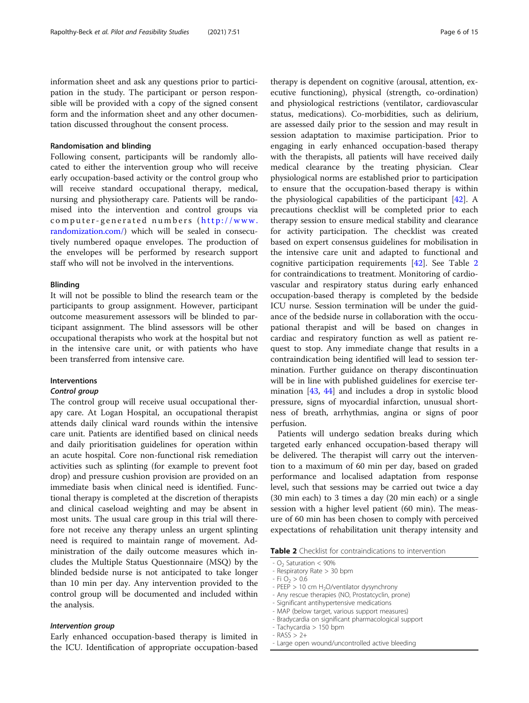information sheet and ask any questions prior to participation in the study. The participant or person responsible will be provided with a copy of the signed consent form and the information sheet and any other documentation discussed throughout the consent process.

## Randomisation and blinding

Following consent, participants will be randomly allocated to either the intervention group who will receive early occupation-based activity or the control group who will receive standard occupational therapy, medical, nursing and physiotherapy care. Patients will be randomised into the intervention and control groups via computer-generated numbers ( [http://www.](http://www.randomization.com/) [randomization.com/\)](http://www.randomization.com/) which will be sealed in consecutively numbered opaque envelopes. The production of the envelopes will be performed by research support staff who will not be involved in the interventions.

### Blinding

It will not be possible to blind the research team or the participants to group assignment. However, participant outcome measurement assessors will be blinded to participant assignment. The blind assessors will be other occupational therapists who work at the hospital but not in the intensive care unit, or with patients who have been transferred from intensive care.

# **Interventions**

# Control group

The control group will receive usual occupational therapy care. At Logan Hospital, an occupational therapist attends daily clinical ward rounds within the intensive care unit. Patients are identified based on clinical needs and daily prioritisation guidelines for operation within an acute hospital. Core non-functional risk remediation activities such as splinting (for example to prevent foot drop) and pressure cushion provision are provided on an immediate basis when clinical need is identified. Functional therapy is completed at the discretion of therapists and clinical caseload weighting and may be absent in most units. The usual care group in this trial will therefore not receive any therapy unless an urgent splinting need is required to maintain range of movement. Administration of the daily outcome measures which includes the Multiple Status Questionnaire (MSQ) by the blinded bedside nurse is not anticipated to take longer than 10 min per day. Any intervention provided to the control group will be documented and included within the analysis.

# Intervention group

Early enhanced occupation-based therapy is limited in the ICU. Identification of appropriate occupation-based

therapy is dependent on cognitive (arousal, attention, executive functioning), physical (strength, co-ordination) and physiological restrictions (ventilator, cardiovascular status, medications). Co-morbidities, such as delirium, are assessed daily prior to the session and may result in session adaptation to maximise participation. Prior to engaging in early enhanced occupation-based therapy with the therapists, all patients will have received daily medical clearance by the treating physician. Clear physiological norms are established prior to participation to ensure that the occupation-based therapy is within the physiological capabilities of the participant  $[42]$  $[42]$ . A precautions checklist will be completed prior to each therapy session to ensure medical stability and clearance for activity participation. The checklist was created based on expert consensus guidelines for mobilisation in the intensive care unit and adapted to functional and cognitive participation requirements [\[42](#page-13-0)]. See Table 2 for contraindications to treatment. Monitoring of cardiovascular and respiratory status during early enhanced occupation-based therapy is completed by the bedside ICU nurse. Session termination will be under the guidance of the bedside nurse in collaboration with the occupational therapist and will be based on changes in cardiac and respiratory function as well as patient request to stop. Any immediate change that results in a contraindication being identified will lead to session termination. Further guidance on therapy discontinuation will be in line with published guidelines for exercise termination [[43,](#page-13-0) [44](#page-13-0)] and includes a drop in systolic blood pressure, signs of myocardial infarction, unusual shortness of breath, arrhythmias, angina or signs of poor perfusion.

Patients will undergo sedation breaks during which targeted early enhanced occupation-based therapy will be delivered. The therapist will carry out the intervention to a maximum of 60 min per day, based on graded performance and localised adaptation from response level, such that sessions may be carried out twice a day (30 min each) to 3 times a day (20 min each) or a single session with a higher level patient (60 min). The measure of 60 min has been chosen to comply with perceived expectations of rehabilitation unit therapy intensity and

Table 2 Checklist for contraindications to intervention

 $-$  Fi O<sub>2</sub>  $> 0.6$ 

- MAP (below target, various support measures)

- Tachycardia > 150 bpm
- $-RASS > 2+$
- Large open wound/uncontrolled active bleeding

<sup>-</sup>  $O<sub>2</sub>$  Saturation  $<$  90%

<sup>-</sup> Respiratory Rate > 30 bpm

<sup>-</sup> PEEP > 10 cm H<sub>2</sub>O/ventilator dysynchrony

<sup>-</sup> Any rescue therapies (NO, Prostatcyclin, prone)

<sup>-</sup> Significant antihypertensive medications

<sup>-</sup> Bradycardia on significant pharmacological support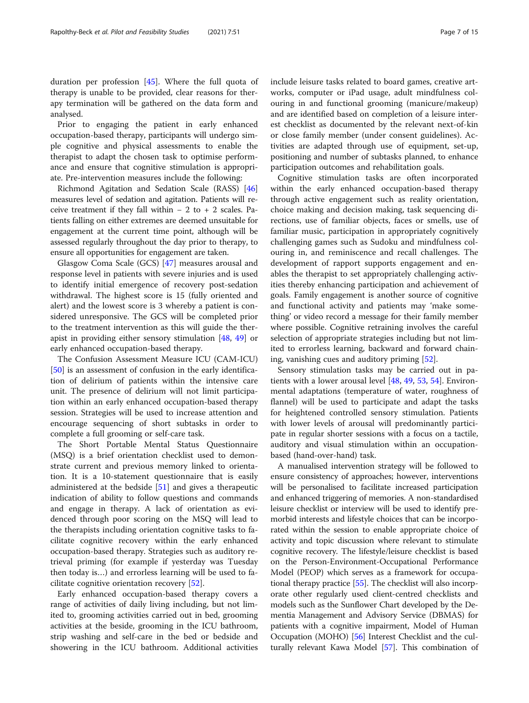duration per profession [\[45\]](#page-13-0). Where the full quota of therapy is unable to be provided, clear reasons for therapy termination will be gathered on the data form and analysed.

Prior to engaging the patient in early enhanced occupation-based therapy, participants will undergo simple cognitive and physical assessments to enable the therapist to adapt the chosen task to optimise performance and ensure that cognitive stimulation is appropriate. Pre-intervention measures include the following:

Richmond Agitation and Sedation Scale (RASS) [[46](#page-13-0)] measures level of sedation and agitation. Patients will receive treatment if they fall within  $-2$  to  $+2$  scales. Patients falling on either extremes are deemed unsuitable for engagement at the current time point, although will be assessed regularly throughout the day prior to therapy, to ensure all opportunities for engagement are taken.

Glasgow Coma Scale (GCS) [[47\]](#page-13-0) measures arousal and response level in patients with severe injuries and is used to identify initial emergence of recovery post-sedation withdrawal. The highest score is 15 (fully oriented and alert) and the lowest score is 3 whereby a patient is considered unresponsive. The GCS will be completed prior to the treatment intervention as this will guide the therapist in providing either sensory stimulation [\[48,](#page-13-0) [49\]](#page-13-0) or early enhanced occupation-based therapy.

The Confusion Assessment Measure ICU (CAM-ICU) [[50\]](#page-13-0) is an assessment of confusion in the early identification of delirium of patients within the intensive care unit. The presence of delirium will not limit participation within an early enhanced occupation-based therapy session. Strategies will be used to increase attention and encourage sequencing of short subtasks in order to complete a full grooming or self-care task.

The Short Portable Mental Status Questionnaire (MSQ) is a brief orientation checklist used to demonstrate current and previous memory linked to orientation. It is a 10-statement questionnaire that is easily administered at the bedside [\[51\]](#page-13-0) and gives a therapeutic indication of ability to follow questions and commands and engage in therapy. A lack of orientation as evidenced through poor scoring on the MSQ will lead to the therapists including orientation cognitive tasks to facilitate cognitive recovery within the early enhanced occupation-based therapy. Strategies such as auditory retrieval priming (for example if yesterday was Tuesday then today is…) and errorless learning will be used to facilitate cognitive orientation recovery [\[52](#page-13-0)].

Early enhanced occupation-based therapy covers a range of activities of daily living including, but not limited to, grooming activities carried out in bed, grooming activities at the beside, grooming in the ICU bathroom, strip washing and self-care in the bed or bedside and showering in the ICU bathroom. Additional activities include leisure tasks related to board games, creative artworks, computer or iPad usage, adult mindfulness colouring in and functional grooming (manicure/makeup) and are identified based on completion of a leisure interest checklist as documented by the relevant next-of-kin or close family member (under consent guidelines). Activities are adapted through use of equipment, set-up, positioning and number of subtasks planned, to enhance participation outcomes and rehabilitation goals.

Cognitive stimulation tasks are often incorporated within the early enhanced occupation-based therapy through active engagement such as reality orientation, choice making and decision making, task sequencing directions, use of familiar objects, faces or smells, use of familiar music, participation in appropriately cognitively challenging games such as Sudoku and mindfulness colouring in, and reminiscence and recall challenges. The development of rapport supports engagement and enables the therapist to set appropriately challenging activities thereby enhancing participation and achievement of goals. Family engagement is another source of cognitive and functional activity and patients may 'make something' or video record a message for their family member where possible. Cognitive retraining involves the careful selection of appropriate strategies including but not limited to errorless learning, backward and forward chaining, vanishing cues and auditory priming [\[52\]](#page-13-0).

Sensory stimulation tasks may be carried out in patients with a lower arousal level [\[48](#page-13-0), [49,](#page-13-0) [53,](#page-13-0) [54\]](#page-13-0). Environmental adaptations (temperature of water, roughness of flannel) will be used to participate and adapt the tasks for heightened controlled sensory stimulation. Patients with lower levels of arousal will predominantly participate in regular shorter sessions with a focus on a tactile, auditory and visual stimulation within an occupationbased (hand-over-hand) task.

A manualised intervention strategy will be followed to ensure consistency of approaches; however, interventions will be personalised to facilitate increased participation and enhanced triggering of memories. A non-standardised leisure checklist or interview will be used to identify premorbid interests and lifestyle choices that can be incorporated within the session to enable appropriate choice of activity and topic discussion where relevant to stimulate cognitive recovery. The lifestyle/leisure checklist is based on the Person-Environment-Occupational Performance Model (PEOP) which serves as a framework for occupational therapy practice [\[55\]](#page-13-0). The checklist will also incorporate other regularly used client-centred checklists and models such as the Sunflower Chart developed by the Dementia Management and Advisory Service (DBMAS) for patients with a cognitive impairment, Model of Human Occupation (MOHO) [\[56\]](#page-13-0) Interest Checklist and the culturally relevant Kawa Model [[57](#page-13-0)]. This combination of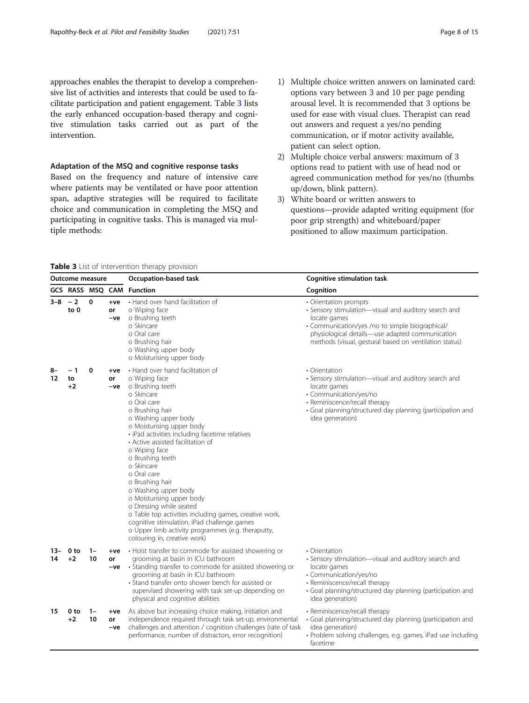approaches enables the therapist to develop a comprehensive list of activities and interests that could be used to facilitate participation and patient engagement. Table 3 lists the early enhanced occupation-based therapy and cognitive stimulation tasks carried out as part of the intervention.

# Adaptation of the MSQ and cognitive response tasks

Based on the frequency and nature of intensive care where patients may be ventilated or have poor attention span, adaptive strategies will be required to facilitate choice and communication in completing the MSQ and participating in cognitive tasks. This is managed via multiple methods:

#### Table 3 List of intervention therapy provision

1) Multiple choice written answers on laminated card: options vary between 3 and 10 per page pending arousal level. It is recommended that 3 options be used for ease with visual clues. Therapist can read out answers and request a yes/no pending communication, or if motor activity available, patient can select option.

- 2) Multiple choice verbal answers: maximum of 3 options read to patient with use of head nod or agreed communication method for yes/no (thumbs up/down, blink pattern).
- 3) White board or written answers to questions—provide adapted writing equipment (for poor grip strength) and whiteboard/paper positioned to allow maximum participation.

| <b>Outcome measure</b> |                    |             | Occupation-based task | Cognitive stimulation task                                                                                                                                                                                                                                                                                                                                                                                                                                                                                                                                                                                                            |                                                                                                                                                                                                                                                               |  |  |
|------------------------|--------------------|-------------|-----------------------|---------------------------------------------------------------------------------------------------------------------------------------------------------------------------------------------------------------------------------------------------------------------------------------------------------------------------------------------------------------------------------------------------------------------------------------------------------------------------------------------------------------------------------------------------------------------------------------------------------------------------------------|---------------------------------------------------------------------------------------------------------------------------------------------------------------------------------------------------------------------------------------------------------------|--|--|
|                        |                    |             |                       | GCS RASS MSQ CAM Function                                                                                                                                                                                                                                                                                                                                                                                                                                                                                                                                                                                                             | Cognition                                                                                                                                                                                                                                                     |  |  |
| 3–8                    | $-2$<br>to 0       | $\mathbf 0$ | $+ve$<br>or<br>$-ve$  | • Hand over hand facilitation of<br>o Wiping face<br>o Brushing teeth<br>o Skincare<br>o Oral care<br>o Brushing hair<br>o Washing upper body<br>o Moisturising upper body                                                                                                                                                                                                                                                                                                                                                                                                                                                            | • Orientation prompts<br>• Sensory stimulation—visual and auditory search and<br>locate games<br>• Communication/yes /no to simple biographical/<br>physiological details-use adapted communication<br>methods (visual, gestural based on ventilation status) |  |  |
| 8–<br>12               | $-1$<br>to<br>$+2$ | 0           | $+ve$<br>or<br>$-ve$  | • Hand over hand facilitation of<br>o Wiping face<br>o Brushing teeth<br>o Skincare<br>o Oral care<br>o Brushing hair<br>o Washing upper body<br>o Moisturising upper body<br>· iPad activities including facetime relatives<br>• Active assisted facilitation of<br>o Wiping face<br>o Brushing teeth<br>o Skincare<br>o Oral care<br>o Brushing hair<br>o Washing upper body<br>o Moisturising upper body<br>o Dressing while seated<br>o Table top activities including games, creative work,<br>cognitive stimulation, iPad challenge games<br>o Upper limb activity programmes (e.g. theraputty,<br>colouring in, creative work) | • Orientation<br>• Sensory stimulation—visual and auditory search and<br>locate games<br>• Communication/yes/no<br>• Reminiscence/recall therapy<br>· Goal planning/structured day planning (participation and<br>idea generation)                            |  |  |
| $13 -$<br>14           | 0 to<br>$+2$       | $1 -$<br>10 | $+ve$<br>or<br>$-ve$  | • Hoist transfer to commode for assisted showering or<br>grooming at basin in ICU bathroom<br>• Standing transfer to commode for assisted showering or<br>grooming at basin in ICU bathroom<br>• Stand transfer onto shower bench for assisted or<br>supervised showering with task set-up depending on<br>physical and cognitive abilities                                                                                                                                                                                                                                                                                           | • Orientation<br>• Sensory stimulation—visual and auditory search and<br>locate games<br>• Communication/yes/no<br>• Reminiscence/recall therapy<br>· Goal planning/structured day planning (participation and<br>idea generation)                            |  |  |
| 15                     | 0 to<br>$+2$       | $1 -$<br>10 | +ve<br>or<br>$-ve$    | As above but increasing choice making, initiation and<br>independence required through task set-up, environmental<br>challenges and attention / cognition challenges (rate of task<br>performance, number of distractors, error recognition)                                                                                                                                                                                                                                                                                                                                                                                          | • Reminiscence/recall therapy<br>· Goal planning/structured day planning (participation and<br>idea generation)<br>· Problem solving challenges, e.g. games, iPad use including<br>facetime                                                                   |  |  |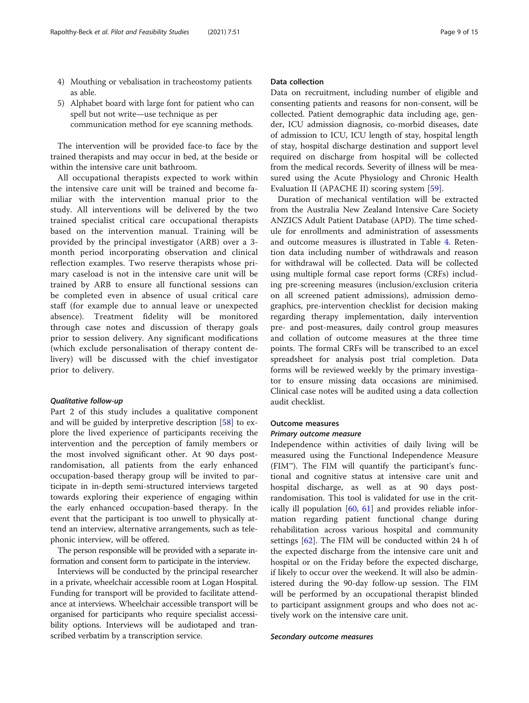- 4) Mouthing or vebalisation in tracheostomy patients as able.
- 5) Alphabet board with large font for patient who can spell but not write—use technique as per communication method for eye scanning methods.

The intervention will be provided face-to face by the trained therapists and may occur in bed, at the beside or within the intensive care unit bathroom.

All occupational therapists expected to work within the intensive care unit will be trained and become familiar with the intervention manual prior to the study. All interventions will be delivered by the two trained specialist critical care occupational therapists based on the intervention manual. Training will be provided by the principal investigator (ARB) over a 3 month period incorporating observation and clinical reflection examples. Two reserve therapists whose primary caseload is not in the intensive care unit will be trained by ARB to ensure all functional sessions can be completed even in absence of usual critical care staff (for example due to annual leave or unexpected absence). Treatment fidelity will be monitored through case notes and discussion of therapy goals prior to session delivery. Any significant modifications (which exclude personalisation of therapy content delivery) will be discussed with the chief investigator prior to delivery.

# Qualitative follow-up

Part 2 of this study includes a qualitative component and will be guided by interpretive description [\[58](#page-13-0)] to explore the lived experience of participants receiving the intervention and the perception of family members or the most involved significant other. At 90 days postrandomisation, all patients from the early enhanced occupation-based therapy group will be invited to participate in in-depth semi-structured interviews targeted towards exploring their experience of engaging within the early enhanced occupation-based therapy. In the event that the participant is too unwell to physically attend an interview, alternative arrangements, such as telephonic interview, will be offered.

The person responsible will be provided with a separate information and consent form to participate in the interview.

Interviews will be conducted by the principal researcher in a private, wheelchair accessible room at Logan Hospital. Funding for transport will be provided to facilitate attendance at interviews. Wheelchair accessible transport will be organised for participants who require specialist accessibility options. Interviews will be audiotaped and transcribed verbatim by a transcription service.

#### Data collection

Data on recruitment, including number of eligible and consenting patients and reasons for non-consent, will be collected. Patient demographic data including age, gender, ICU admission diagnosis, co-morbid diseases, date of admission to ICU, ICU length of stay, hospital length of stay, hospital discharge destination and support level required on discharge from hospital will be collected from the medical records. Severity of illness will be measured using the Acute Physiology and Chronic Health Evaluation II (APACHE II) scoring system [\[59](#page-13-0)].

Duration of mechanical ventilation will be extracted from the Australia New Zealand Intensive Care Society ANZICS Adult Patient Database (APD). The time schedule for enrollments and administration of assessments and outcome measures is illustrated in Table [4](#page-9-0). Retention data including number of withdrawals and reason for withdrawal will be collected. Data will be collected using multiple formal case report forms (CRFs) including pre-screening measures (inclusion/exclusion criteria on all screened patient admissions), admission demographics, pre-intervention checklist for decision making regarding therapy implementation, daily intervention pre- and post-measures, daily control group measures and collation of outcome measures at the three time points. The formal CRFs will be transcribed to an excel spreadsheet for analysis post trial completion. Data forms will be reviewed weekly by the primary investigator to ensure missing data occasions are minimised. Clinical case notes will be audited using a data collection audit checklist.

# Outcome measures

#### Primary outcome measure

Independence within activities of daily living will be measured using the Functional Independence Measure  $(FIM<sup>m</sup>)$ . The FIM will quantify the participant's functional and cognitive status at intensive care unit and hospital discharge, as well as at 90 days postrandomisation. This tool is validated for use in the critically ill population [\[60,](#page-13-0) [61\]](#page-14-0) and provides reliable information regarding patient functional change during rehabilitation across various hospital and community settings [\[62](#page-14-0)]. The FIM will be conducted within 24 h of the expected discharge from the intensive care unit and hospital or on the Friday before the expected discharge, if likely to occur over the weekend. It will also be administered during the 90-day follow-up session. The FIM will be performed by an occupational therapist blinded to participant assignment groups and who does not actively work on the intensive care unit.

# Secondary outcome measures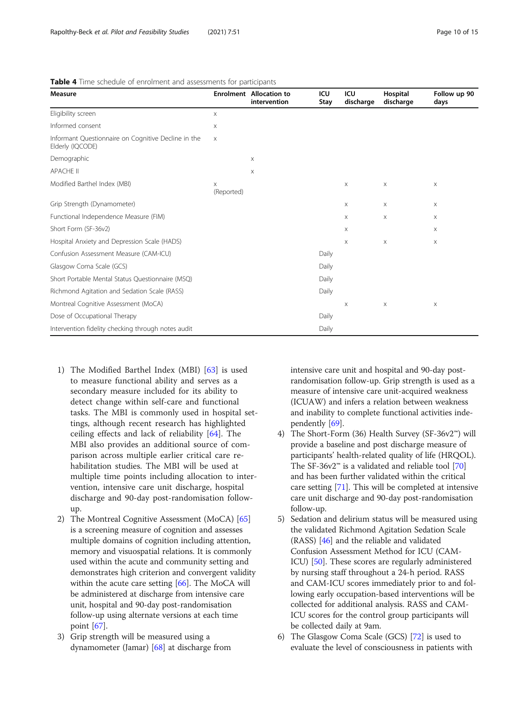| <b>Measure</b>                                                          |                 | <b>Enrolment</b> Allocation to<br>intervention | ICU<br>Stay | ICU<br>discharge      | Hospital<br>discharge | Follow up 90<br>days  |
|-------------------------------------------------------------------------|-----------------|------------------------------------------------|-------------|-----------------------|-----------------------|-----------------------|
| Eligibility screen                                                      | X               |                                                |             |                       |                       |                       |
| Informed consent                                                        | X               |                                                |             |                       |                       |                       |
| Informant Questionnaire on Cognitive Decline in the<br>Elderly (IQCODE) | X               |                                                |             |                       |                       |                       |
| Demographic                                                             |                 | Χ                                              |             |                       |                       |                       |
| <b>APACHE II</b>                                                        |                 | $\mathsf X$                                    |             |                       |                       |                       |
| Modified Barthel Index (MBI)                                            | X<br>(Reported) |                                                |             | $\boldsymbol{\times}$ | $\boldsymbol{\times}$ | $\boldsymbol{\times}$ |
| Grip Strength (Dynamometer)                                             |                 |                                                |             | X                     | X                     | X                     |
| Functional Independence Measure (FIM)                                   |                 |                                                |             | X                     | $\times$              | X                     |
| Short Form (SF-36v2)                                                    |                 |                                                |             | X                     |                       | X                     |
| Hospital Anxiety and Depression Scale (HADS)                            |                 |                                                |             | $\times$              | $\boldsymbol{\times}$ | X                     |
| Confusion Assessment Measure (CAM-ICU)                                  |                 |                                                | Daily       |                       |                       |                       |
| Glasgow Coma Scale (GCS)                                                |                 |                                                | Daily       |                       |                       |                       |
| Short Portable Mental Status Questionnaire (MSQ)                        |                 |                                                | Daily       |                       |                       |                       |
| Richmond Agitation and Sedation Scale (RASS)                            |                 |                                                | Daily       |                       |                       |                       |
| Montreal Cognitive Assessment (MoCA)                                    |                 |                                                |             | X                     | X                     | X                     |
| Dose of Occupational Therapy                                            |                 |                                                | Daily       |                       |                       |                       |
| Intervention fidelity checking through notes audit                      |                 |                                                | Daily       |                       |                       |                       |

<span id="page-9-0"></span>Table 4 Time schedule of enrolment and assessments for participants

- 1) The Modified Barthel Index (MBI) [[63\]](#page-14-0) is used to measure functional ability and serves as a secondary measure included for its ability to detect change within self-care and functional tasks. The MBI is commonly used in hospital settings, although recent research has highlighted ceiling effects and lack of reliability [[64\]](#page-14-0). The MBI also provides an additional source of comparison across multiple earlier critical care rehabilitation studies. The MBI will be used at multiple time points including allocation to intervention, intensive care unit discharge, hospital discharge and 90-day post-randomisation followup.
- 2) The Montreal Cognitive Assessment (MoCA) [[65](#page-14-0)] is a screening measure of cognition and assesses multiple domains of cognition including attention, memory and visuospatial relations. It is commonly used within the acute and community setting and demonstrates high criterion and convergent validity within the acute care setting  $[66]$ . The MoCA will be administered at discharge from intensive care unit, hospital and 90-day post-randomisation follow-up using alternate versions at each time point [\[67](#page-14-0)].
- 3) Grip strength will be measured using a dynamometer (Jamar) [[68](#page-14-0)] at discharge from

intensive care unit and hospital and 90-day postrandomisation follow-up. Grip strength is used as a measure of intensive care unit-acquired weakness (ICUAW) and infers a relation between weakness and inability to complete functional activities independently [[69\]](#page-14-0).

- 4) The Short-Form (36) Health Survey (SF-36v2™) will provide a baseline and post discharge measure of participants' health-related quality of life (HRQOL). The SF-36v2<sup>™</sup> is a validated and reliable tool [[70](#page-14-0)] and has been further validated within the critical care setting [[71](#page-14-0)]. This will be completed at intensive care unit discharge and 90-day post-randomisation follow-up.
- 5) Sedation and delirium status will be measured using the validated Richmond Agitation Sedation Scale (RASS) [\[46\]](#page-13-0) and the reliable and validated Confusion Assessment Method for ICU (CAM-ICU) [[50](#page-13-0)]. These scores are regularly administered by nursing staff throughout a 24-h period. RASS and CAM-ICU scores immediately prior to and following early occupation-based interventions will be collected for additional analysis. RASS and CAM-ICU scores for the control group participants will be collected daily at 9am.
- 6) The Glasgow Coma Scale (GCS) [[72\]](#page-14-0) is used to evaluate the level of consciousness in patients with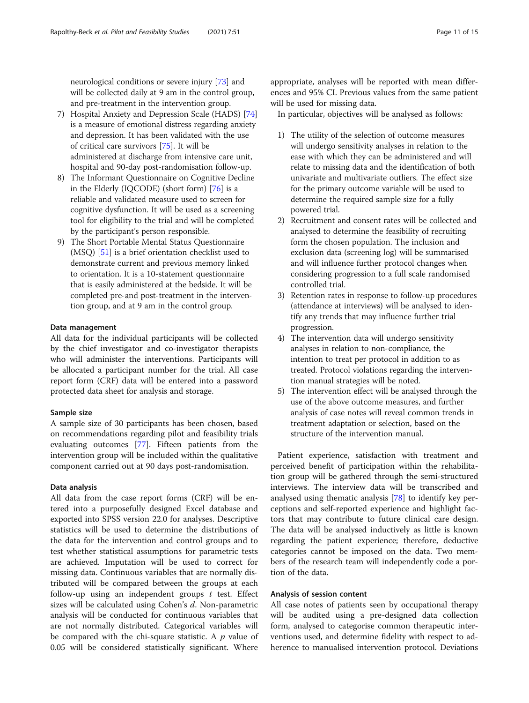neurological conditions or severe injury [\[73\]](#page-14-0) and will be collected daily at 9 am in the control group, and pre-treatment in the intervention group.

- 7) Hospital Anxiety and Depression Scale (HADS) [\[74\]](#page-14-0) is a measure of emotional distress regarding anxiety and depression. It has been validated with the use of critical care survivors [\[75\]](#page-14-0). It will be administered at discharge from intensive care unit, hospital and 90-day post-randomisation follow-up.
- 8) The Informant Questionnaire on Cognitive Decline in the Elderly (IQCODE) (short form) [[76\]](#page-14-0) is a reliable and validated measure used to screen for cognitive dysfunction. It will be used as a screening tool for eligibility to the trial and will be completed by the participant's person responsible.
- 9) The Short Portable Mental Status Questionnaire (MSQ) [\[51\]](#page-13-0) is a brief orientation checklist used to demonstrate current and previous memory linked to orientation. It is a 10-statement questionnaire that is easily administered at the bedside. It will be completed pre-and post-treatment in the intervention group, and at 9 am in the control group.

# Data management

All data for the individual participants will be collected by the chief investigator and co-investigator therapists who will administer the interventions. Participants will be allocated a participant number for the trial. All case report form (CRF) data will be entered into a password protected data sheet for analysis and storage.

# Sample size

A sample size of 30 participants has been chosen, based on recommendations regarding pilot and feasibility trials evaluating outcomes [[77\]](#page-14-0). Fifteen patients from the intervention group will be included within the qualitative component carried out at 90 days post-randomisation.

# Data analysis

All data from the case report forms (CRF) will be entered into a purposefully designed Excel database and exported into SPSS version 22.0 for analyses. Descriptive statistics will be used to determine the distributions of the data for the intervention and control groups and to test whether statistical assumptions for parametric tests are achieved. Imputation will be used to correct for missing data. Continuous variables that are normally distributed will be compared between the groups at each follow-up using an independent groups  $t$  test. Effect sizes will be calculated using Cohen's d. Non-parametric analysis will be conducted for continuous variables that are not normally distributed. Categorical variables will be compared with the chi-square statistic. A  $p$  value of 0.05 will be considered statistically significant. Where

appropriate, analyses will be reported with mean differences and 95% CI. Previous values from the same patient will be used for missing data.

- In particular, objectives will be analysed as follows:
- 1) The utility of the selection of outcome measures will undergo sensitivity analyses in relation to the ease with which they can be administered and will relate to missing data and the identification of both univariate and multivariate outliers. The effect size for the primary outcome variable will be used to determine the required sample size for a fully powered trial.
- 2) Recruitment and consent rates will be collected and analysed to determine the feasibility of recruiting form the chosen population. The inclusion and exclusion data (screening log) will be summarised and will influence further protocol changes when considering progression to a full scale randomised controlled trial.
- 3) Retention rates in response to follow-up procedures (attendance at interviews) will be analysed to identify any trends that may influence further trial progression.
- 4) The intervention data will undergo sensitivity analyses in relation to non-compliance, the intention to treat per protocol in addition to as treated. Protocol violations regarding the intervention manual strategies will be noted.
- 5) The intervention effect will be analysed through the use of the above outcome measures, and further analysis of case notes will reveal common trends in treatment adaptation or selection, based on the structure of the intervention manual.

Patient experience, satisfaction with treatment and perceived benefit of participation within the rehabilitation group will be gathered through the semi-structured interviews. The interview data will be transcribed and analysed using thematic analysis [[78](#page-14-0)] to identify key perceptions and self-reported experience and highlight factors that may contribute to future clinical care design. The data will be analysed inductively as little is known regarding the patient experience; therefore, deductive categories cannot be imposed on the data. Two members of the research team will independently code a portion of the data.

#### Analysis of session content

All case notes of patients seen by occupational therapy will be audited using a pre-designed data collection form, analysed to categorise common therapeutic interventions used, and determine fidelity with respect to adherence to manualised intervention protocol. Deviations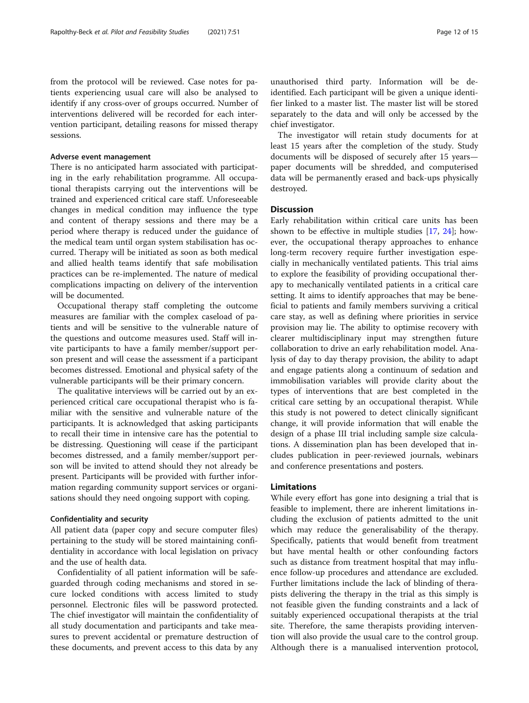from the protocol will be reviewed. Case notes for patients experiencing usual care will also be analysed to identify if any cross-over of groups occurred. Number of interventions delivered will be recorded for each intervention participant, detailing reasons for missed therapy sessions.

# Adverse event management

There is no anticipated harm associated with participating in the early rehabilitation programme. All occupational therapists carrying out the interventions will be trained and experienced critical care staff. Unforeseeable changes in medical condition may influence the type and content of therapy sessions and there may be a period where therapy is reduced under the guidance of the medical team until organ system stabilisation has occurred. Therapy will be initiated as soon as both medical and allied health teams identify that safe mobilisation practices can be re-implemented. The nature of medical complications impacting on delivery of the intervention will be documented.

Occupational therapy staff completing the outcome measures are familiar with the complex caseload of patients and will be sensitive to the vulnerable nature of the questions and outcome measures used. Staff will invite participants to have a family member/support person present and will cease the assessment if a participant becomes distressed. Emotional and physical safety of the vulnerable participants will be their primary concern.

The qualitative interviews will be carried out by an experienced critical care occupational therapist who is familiar with the sensitive and vulnerable nature of the participants. It is acknowledged that asking participants to recall their time in intensive care has the potential to be distressing. Questioning will cease if the participant becomes distressed, and a family member/support person will be invited to attend should they not already be present. Participants will be provided with further information regarding community support services or organisations should they need ongoing support with coping.

# Confidentiality and security

All patient data (paper copy and secure computer files) pertaining to the study will be stored maintaining confidentiality in accordance with local legislation on privacy and the use of health data.

Confidentiality of all patient information will be safeguarded through coding mechanisms and stored in secure locked conditions with access limited to study personnel. Electronic files will be password protected. The chief investigator will maintain the confidentiality of all study documentation and participants and take measures to prevent accidental or premature destruction of these documents, and prevent access to this data by any

unauthorised third party. Information will be deidentified. Each participant will be given a unique identifier linked to a master list. The master list will be stored separately to the data and will only be accessed by the chief investigator.

The investigator will retain study documents for at least 15 years after the completion of the study. Study documents will be disposed of securely after 15 years paper documents will be shredded, and computerised data will be permanently erased and back-ups physically destroyed.

# **Discussion**

Early rehabilitation within critical care units has been shown to be effective in multiple studies [[17,](#page-13-0) [24\]](#page-13-0); however, the occupational therapy approaches to enhance long-term recovery require further investigation especially in mechanically ventilated patients. This trial aims to explore the feasibility of providing occupational therapy to mechanically ventilated patients in a critical care setting. It aims to identify approaches that may be beneficial to patients and family members surviving a critical care stay, as well as defining where priorities in service provision may lie. The ability to optimise recovery with clearer multidisciplinary input may strengthen future collaboration to drive an early rehabilitation model. Analysis of day to day therapy provision, the ability to adapt and engage patients along a continuum of sedation and immobilisation variables will provide clarity about the types of interventions that are best completed in the critical care setting by an occupational therapist. While this study is not powered to detect clinically significant change, it will provide information that will enable the design of a phase III trial including sample size calculations. A dissemination plan has been developed that includes publication in peer-reviewed journals, webinars and conference presentations and posters.

# Limitations

While every effort has gone into designing a trial that is feasible to implement, there are inherent limitations including the exclusion of patients admitted to the unit which may reduce the generalisability of the therapy. Specifically, patients that would benefit from treatment but have mental health or other confounding factors such as distance from treatment hospital that may influence follow-up procedures and attendance are excluded. Further limitations include the lack of blinding of therapists delivering the therapy in the trial as this simply is not feasible given the funding constraints and a lack of suitably experienced occupational therapists at the trial site. Therefore, the same therapists providing intervention will also provide the usual care to the control group. Although there is a manualised intervention protocol,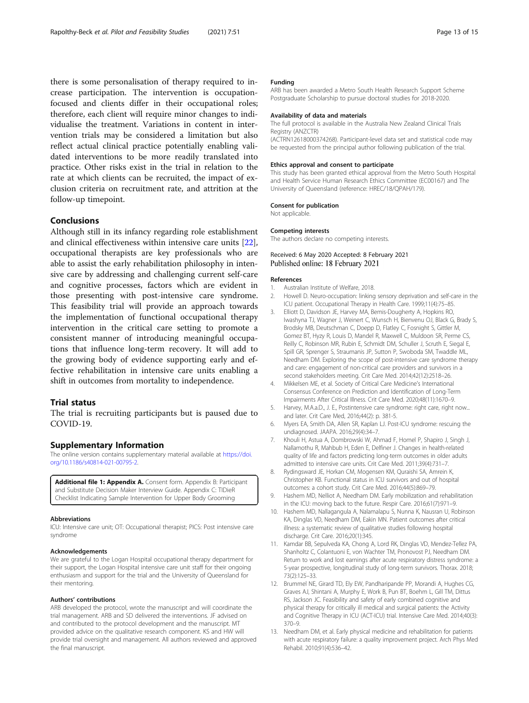<span id="page-12-0"></span>there is some personalisation of therapy required to increase participation. The intervention is occupationfocused and clients differ in their occupational roles; therefore, each client will require minor changes to individualise the treatment. Variations in content in intervention trials may be considered a limitation but also reflect actual clinical practice potentially enabling validated interventions to be more readily translated into practice. Other risks exist in the trial in relation to the rate at which clients can be recruited, the impact of exclusion criteria on recruitment rate, and attrition at the follow-up timepoint.

# Conclusions

Although still in its infancy regarding role establishment and clinical effectiveness within intensive care units [\[22](#page-13-0)], occupational therapists are key professionals who are able to assist the early rehabilitation philosophy in intensive care by addressing and challenging current self-care and cognitive processes, factors which are evident in those presenting with post-intensive care syndrome. This feasibility trial will provide an approach towards the implementation of functional occupational therapy intervention in the critical care setting to promote a consistent manner of introducing meaningful occupations that influence long-term recovery. It will add to the growing body of evidence supporting early and effective rehabilitation in intensive care units enabling a shift in outcomes from mortality to independence.

# Trial status

The trial is recruiting participants but is paused due to COVID-19.

# Supplementary Information

The online version contains supplementary material available at [https://doi.](https://doi.org/10.1186/s40814-021-00795-2) [org/10.1186/s40814-021-00795-2.](https://doi.org/10.1186/s40814-021-00795-2)

Additional file 1: Appendix A. Consent form. Appendix B: Participant and Substitute Decision Maker Interview Guide. Appendix C: TIDieR Checklist Indicating Sample Intervention for Upper Body Grooming

#### Abbreviations

ICU: Intensive care unit; OT: Occupational therapist; PICS: Post intensive care syndrome

#### Acknowledgements

We are grateful to the Logan Hospital occupational therapy department for their support, the Logan Hospital intensive care unit staff for their ongoing enthusiasm and support for the trial and the University of Queensland for their mentoring.

# Authors' contributions

ARB developed the protocol, wrote the manuscript and will coordinate the trial management. ARB and SD delivered the interventions. JF advised on and contributed to the protocol development and the manuscript. MT provided advice on the qualitative research component. KS and HW will provide trial oversight and management. All authors reviewed and approved the final manuscript.

#### Funding

ARB has been awarded a Metro South Health Research Support Scheme Postgraduate Scholarship to pursue doctoral studies for 2018-2020.

#### Availability of data and materials

The full protocol is available in the Australia New Zealand Clinical Trials Registry (ANZCTR)

(ACTRN12618000374268). Participant-level data set and statistical code may be requested from the principal author following publication of the trial.

#### Ethics approval and consent to participate

This study has been granted ethical approval from the Metro South Hospital and Health Service Human Research Ethics Committee (EC00167) and The University of Queensland (reference: HREC/18/QPAH/179).

#### Consent for publication

Not applicable.

#### Competing interests

The authors declare no competing interests.

#### Received: 6 May 2020 Accepted: 8 February 2021 Published online: 18 February 2021

#### References

- 1. Australian Institute of Welfare, 2018.
- 2. Howell D. Neuro-occupation: linking sensory deprivation and self-care in the ICU patient. Occupational Therapy in Health Care. 1999;11(4):75–85.
- 3. Elliott D, Davidson JE, Harvey MA, Bemis-Dougherty A, Hopkins RO, Iwashyna TJ, Wagner J, Weinert C, Wunsch H, Bienvenu OJ, Black G, Brady S, Brodsky MB, Deutschman C, Doepp D, Flatley C, Fosnight S, Gittler M, Gomez BT, Hyzy R, Louis D, Mandel R, Maxwell C, Muldoon SR, Perme CS, Reilly C, Robinson MR, Rubin E, Schmidt DM, Schuller J, Scruth E, Siegal E, Spill GR, Sprenger S, Straumanis JP, Sutton P, Swoboda SM, Twaddle ML, Needham DM. Exploring the scope of post-intensive care syndrome therapy and care: engagement of non-critical care providers and survivors in a second stakeholders meeting. Crit Care Med. 2014;42(12):2518–26.
- 4. Mikkelsen ME, et al. Society of Critical Care Medicine's International Consensus Conference on Prediction and Identification of Long-Term Impairments After Critical Illness. Crit Care Med. 2020;48(11):1670–9.
- Harvey, M.A.a.D., J. E., Postintensive care syndrome: right care, right now... and later. Crit Care Med, 2016;44(2): p. 381-5.
- 6. Myers EA, Smith DA, Allen SR, Kaplan LJ. Post-ICU syndrome: rescuing the undiagnosed. JAAPA. 2016;29(4):34–7.
- 7. Khouli H, Astua A, Dombrowski W, Ahmad F, Homel P, Shapiro J, Singh J, Nallamothu R, Mahbub H, Eden E, Delfiner J. Changes in health-related quality of life and factors predicting long-term outcomes in older adults admitted to intensive care units. Crit Care Med. 2011;39(4):731–7.
- 8. Rydingsward JE, Horkan CM, Mogensen KM, Quraishi SA, Amrein K, Christopher KB. Functional status in ICU survivors and out of hospital outcomes: a cohort study. Crit Care Med. 2016;44(5):869–79.
- 9. Hashem MD, Nelliot A, Needham DM. Early mobilization and rehabilitation in the ICU: moving back to the future. Respir Care. 2016;61(7):971–9.
- 10. Hashem MD, Nallagangula A, Nalamalapu S, Nunna K, Nausran U, Robinson KA, Dinglas VD, Needham DM, Eakin MN. Patient outcomes after critical illness: a systematic review of qualitative studies following hospital discharge. Crit Care. 2016;20(1):345.
- 11. Kamdar BB, Sepulveda KA, Chong A, Lord RK, Dinglas VD, Mendez-Tellez PA, Shanholtz C, Colantuoni E, von Wachter TM, Pronovost PJ, Needham DM. Return to work and lost earnings after acute respiratory distress syndrome: a 5-year prospective, longitudinal study of long-term survivors. Thorax. 2018; 73(2):125–33.
- 12. Brummel NE, Girard TD, Ely EW, Pandharipande PP, Morandi A, Hughes CG, Graves AJ, Shintani A, Murphy E, Work B, Pun BT, Boehm L, Gill TM, Dittus RS, Jackson JC. Feasibility and safety of early combined cognitive and physical therapy for critically ill medical and surgical patients: the Activity and Cognitive Therapy in ICU (ACT-ICU) trial. Intensive Care Med. 2014;40(3): 370–9.
- 13. Needham DM, et al. Early physical medicine and rehabilitation for patients with acute respiratory failure: a quality improvement project. Arch Phys Med Rehabil. 2010;91(4):536–42.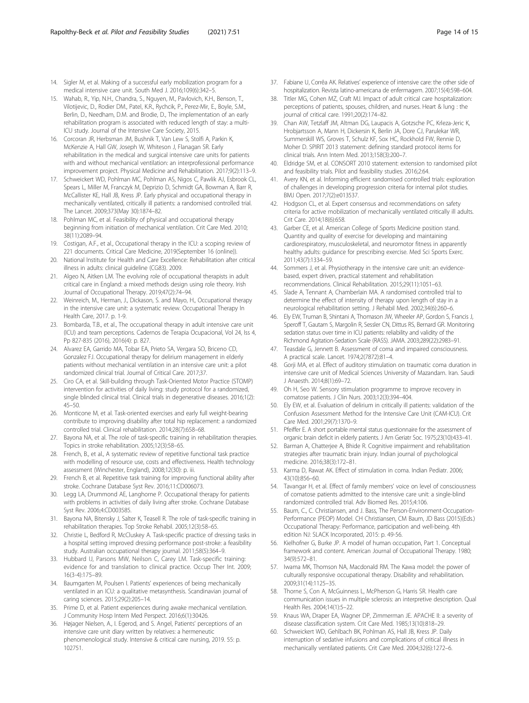- <span id="page-13-0"></span>14. Sigler M, et al. Making of a successful early mobilization program for a medical intensive care unit. South Med J. 2016;109(6):342–5.
- 15. Wahab, R., Yip, N.H., Chandra, S., Nguyen, M., Pavlovich, K.H., Benson, T., Vilotijevic, D., Rodier DM., Patel, K.R., Rychcik, P., Perez-Mir, E., Boyle, S.M., Berlin, D., Needham, D.M. and Brodie, D., The implementation of an early rehabilitation program is associated with reduced length of stay: a multi-ICU study. Journal of the Intensive Care Society, 2015.
- 16. Corcoran JR, Herbsman JM, Bushnik T, Van Lew S, Stolfi A, Parkin K, McKenzie A, Hall GW, Joseph W, Whiteson J, Flanagan SR. Early rehabilitation in the medical and surgical intensive care units for patients with and without mechanical ventilation: an interprofessional performance improvement project. Physical Medicine and Rehabilitation. 2017;9(2):113–9.
- 17. Schweickert WD, Pohlman MC, Pohlman AS, Nigos C, Pawlik AJ, Esbrook CL, Spears L, Miller M, Franczyk M, Deprizio D, Schmidt GA, Bowman A, Barr R, McCallister KE, Hall JB, Kress JP. Early physical and occupational therapy in mechanically ventilated, critically ill patients: a randomised controlled trial. The Lancet. 2009;373(May 30):1874–82.
- 18. Pohlman MC, et al. Feasibility of physical and occupational therapy beginning from initiation of mechanical ventilation. Crit Care Med. 2010; 38(11):2089–94.
- 19. Costigan, A.F., et al., Occupational therapy in the ICU: a scoping review of 221 documents. Critical Care Medicine, 2019(September 16 (online)).
- 20. National Institute for Health and Care Excellence: Rehabilitation after critical illness in adults: clinical guideline (CG83). 2009.
- 21. Algeo N, Aitken LM. The evolving role of occupational therapists in adult critical care in England: a mixed methods design using role theory. Irish Journal of Occupational Therapy. 2019;47(2):74–94.
- 22. Weinreich, M., Herman, J., Dickason, S. and Mayo, H., Occupational therapy in the intensive care unit: a systematic review. Occupational Therapy In Health Care, 2017. p. 1-9.
- 23. Bombarda, T.B., et al., The occupational therapy in adult intensive care unit (ICU) and team perceptions. Cadernos de Terapia Ocupacional, Vol 24, Iss 4, Pp 827-835 (2016), 2016(4): p. 827.
- 24. Alvarez EA, Garrido MA, Tobar EA, Prieto SA, Vergara SO, Briceno CD, Gonzalez FJ. Occupational therapy for delirium management in elderly patients without mechanical ventilation in an intensive care unit: a pilot randomized clinical trial. Journal of Critical Care. 2017;37.
- 25. Ciro CA, et al. Skill-building through Task-Oriented Motor Practice (STOMP) intervention for activities of daily living: study protocol for a randomized, single blinded clinical trial. Clinical trials in degenerative diseases. 2016;1(2): 45–50.
- 26. Monticone M, et al. Task-oriented exercises and early full weight-bearing contribute to improving disability after total hip replacement: a randomized controlled trial. Clinical rehabilitation. 2014;28(7):658–68.
- 27. Bayona NA, et al. The role of task-specific training in rehabilitation therapies. Topics in stroke rehabilitation. 2005;12(3):58–65.
- 28. French, B., et al., A systematic review of repetitive functional task practice with modelling of resource use, costs and effectiveness. Health technology assessment (Winchester, England), 2008;12(30): p. iii.
- 29. French B, et al. Repetitive task training for improving functional ability after stroke. Cochrane Database Syst Rev. 2016;11:CD006073.
- 30. Legg LA, Drummond AE, Langhorne P. Occupational therapy for patients with problems in activities of daily living after stroke. Cochrane Database Syst Rev. 2006;4:CD003585.
- 31. Bayona NA, Bitensky J, Salter K, Teasell R. The role of task-specific training in rehabilitation therapies. Top Stroke Rehabil. 2005;12(3):58–65.
- 32. Christie L, Bedford R, McCluskey A. Task-specific practice of dressing tasks in a hospital setting improved dressing performance post-stroke: a feasibility study. Australian occupational therapy journal. 2011;58(5):364–9.
- 33. Hubbard IJ, Parsons MW, Neilson C, Carey LM. Task-specific training: evidence for and translation to clinical practice. Occup Ther Int. 2009; 16(3-4):175–89.
- 34. Baumgarten M, Poulsen I. Patients' experiences of being mechanically ventilated in an ICU: a qualitative metasynthesis. Scandinavian journal of caring sciences. 2015;29(2):205–14.
- 35. Prime D, et al. Patient experiences during awake mechanical ventilation. J Community Hosp Intern Med Perspect. 2016;6(1):30426.
- 36. Højager Nielsen, A., I. Egerod, and S. Angel, Patients' perceptions of an intensive care unit diary written by relatives: a hermeneutic phenomenological study. Intensive & critical care nursing, 2019. 55: p. 102751.
- 37. Fabiane U, Corrêa AK. Relatives' experience of intensive care: the other side of hospitalization. Revista latino-americana de enfermagem. 2007;15(4):598–604.
- 38. Titler MG, Cohen MZ, Craft MJ. Impact of adult critical care hospitalization: perceptions of patients, spouses, children, and nurses. Heart & lung : the journal of critical care. 1991;20(2):174–82.
- 39. Chan AW, Tetzlaff JM, Altman DG, Laupacis A, Gotzsche PC, Krleza-Jeric K, Hrobjartsson A, Mann H, Dickersin K, Berlin JA, Dore CJ, Parulekar WR, Summerskill WS, Groves T, Schulz KF, Sox HC, Rockhold FW, Rennie D, Moher D. SPIRIT 2013 statement: defining standard protocol items for clinical trials. Ann Intern Med. 2013;158(3):200–7.
- 40. Eldridge SM, et al. CONSORT 2010 statement: extension to randomised pilot and feasibility trials. Pilot and feasibility studies. 2016;2:64.
- 41. Avery KN, et al. Informing efficient randomised controlled trials: exploration of challenges in developing progression criteria for internal pilot studies. BMJ Open. 2017;7(2):e013537.
- 42. Hodgson CL, et al. Expert consensus and recommendations on safety criteria for active mobilization of mechanically ventilated critically ill adults. Crit Care. 2014;18(6):658.
- 43. Garber CE, et al. American College of Sports Medicine position stand. Quantity and quality of exercise for developing and maintaining cardiorespiratory, musculoskeletal, and neuromotor fitness in apparently healthy adults: guidance for prescribing exercise. Med Sci Sports Exerc. 2011;43(7):1334–59.
- 44. Sommers J, et al. Physiotherapy in the intensive care unit: an evidencebased, expert driven, practical statement and rehabilitation recommendations. Clinical Rehabilitation. 2015;29(11):1051–63.
- 45. Slade A, Tennant A, Chamberlain MA. A randomised controlled trial to determine the effect of intensity of therapy upon length of stay in a neurological rehabilitation setting. J Rehabil Med. 2002;34(6):260–6.
- 46. Ely EW, Truman B, Shintani A, Thomason JW, Wheeler AP, Gordon S, Francis J, Speroff T, Gautam S, Margolin R, Sessler CN, Dittus RS, Bernard GR. Monitoring sedation status over time in ICU patients: reliability and validity of the Richmond Agitation-Sedation Scale (RASS). JAMA. 2003;289(22):2983–91.
- 47. Teasdale G, Jennett B. Assessment of coma and impaired consciousness. A practical scale. Lancet. 1974;2(7872):81–4.
- 48. Gorji MA, et al. Effect of auditory stimulation on traumatic coma duration in intensive care unit of Medical Sciences University of Mazandarn. Iran. Saudi J Anaesth. 2014;8(1):69–72.
- 49. Oh H, Seo W. Sensory stimulation programme to improve recovery in comatose patients. J Clin Nurs. 2003;12(3):394–404.
- 50. Ely EW, et al. Evaluation of delirium in critically ill patients: validation of the Confusion Assessment Method for the Intensive Care Unit (CAM-ICU). Crit Care Med. 2001;29(7):1370–9.
- 51. Pfeiffer E. A short portable mental status questionnaire for the assessment of organic brain deficit in elderly patients. J Am Geriatr Soc. 1975;23(10):433–41.
- 52. Barman A, Chatterjee A, Bhide R. Cognitive impairment and rehabilitation strategies after traumatic brain injury. Indian journal of psychological medicine. 2016;38(3):172–81.
- 53. Karma D, Rawat AK. Effect of stimulation in coma. Indian Pediatr. 2006; 43(10):856–60.
- 54. Tavangar H, et al. Effect of family members' voice on level of consciousness of comatose patients admitted to the intensive care unit: a single-blind randomized controlled trial. Adv Biomed Res. 2015;4:106.
- 55. Baum, C., C. Christiansen, and J. Bass, The Person-Environment-Occupation-Performance (PEOP) Model. CH Christiansen, CM Baum, JD Bass (2015)(Eds.) Occupational Therapy: Performance, participation and well-being. 4th edition NJ: SLACK Incorporated, 2015: p. 49-56.
- 56. Kielhofner G, Burke JP. A model of human occupation, Part 1. Conceptual framework and content. American Journal of Occupational Therapy. 1980; 34(9):572–81.
- 57. Iwama MK, Thomson NA, Macdonald RM. The Kawa model: the power of culturally responsive occupational therapy. Disability and rehabilitation. 2009;31(14):1125–35.
- 58. Thorne S, Con A, McGuinness L, McPherson G, Harris SR. Health care communication issues in multiple sclerosis: an interpretive description. Qual Health Res. 2004;14(1):5–22.
- 59. Knaus WA, Draper EA, Wagner DP, Zimmerman JE. APACHE II: a severity of disease classification system. Crit Care Med. 1985;13(10):818–29.
- 60. Schweickert WD, Gehlbach BK, Pohlman AS, Hall JB, Kress JP. Daily interruption of sedative infusions and complications of critical illness in mechanically ventilated patients. Crit Care Med. 2004;32(6):1272–6.